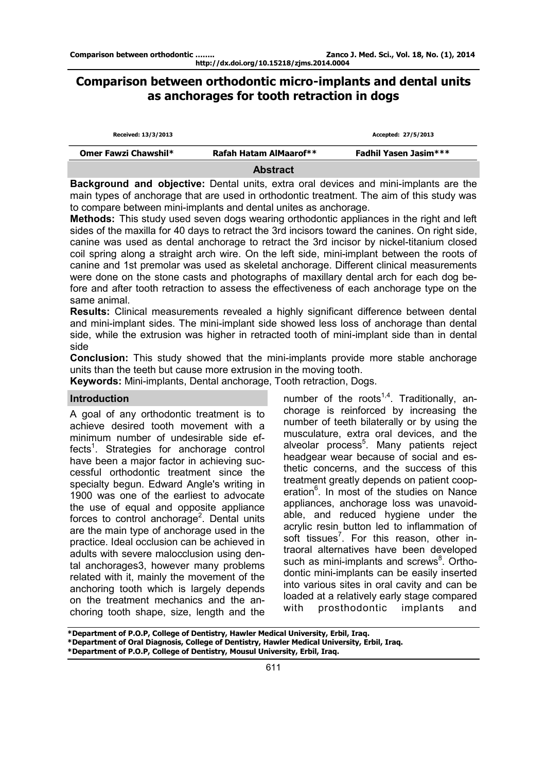# **Comparison between orthodontic micro-implants and dental units as anchorages for tooth retraction in dogs**

| Received: 13/3/2013  |                        | Accepted: 27/5/2013          |  |
|----------------------|------------------------|------------------------------|--|
| Omer Fawzi Chawshil* | Rafah Hatam AlMaarof** | <b>Fadhil Yasen Jasim***</b> |  |
|                      | .                      |                              |  |

**Abstract** 

**Background and objective:** Dental units, extra oral devices and mini-implants are the main types of anchorage that are used in orthodontic treatment. The aim of this study was to compare between mini-implants and dental unites as anchorage.

**Methods:** This study used seven dogs wearing orthodontic appliances in the right and left sides of the maxilla for 40 days to retract the 3rd incisors toward the canines. On right side, canine was used as dental anchorage to retract the 3rd incisor by nickel-titanium closed coil spring along a straight arch wire. On the left side, mini-implant between the roots of canine and 1st premolar was used as skeletal anchorage. Different clinical measurements were done on the stone casts and photographs of maxillary dental arch for each dog before and after tooth retraction to assess the effectiveness of each anchorage type on the same animal.

**Results:** Clinical measurements revealed a highly significant difference between dental and mini-implant sides. The mini-implant side showed less loss of anchorage than dental side, while the extrusion was higher in retracted tooth of mini-implant side than in dental side

**Conclusion:** This study showed that the mini-implants provide more stable anchorage units than the teeth but cause more extrusion in the moving tooth.

**Keywords:** Mini-implants, Dental anchorage, Tooth retraction, Dogs.

# **Introduction**

A goal of any orthodontic treatment is to achieve desired tooth movement with a minimum number of undesirable side effects<sup>1</sup>. Strategies for anchorage control have been a major factor in achieving successful orthodontic treatment since the specialty begun. Edward Angle's writing in 1900 was one of the earliest to advocate the use of equal and opposite appliance forces to control anchorage<sup>2</sup>. Dental units are the main type of anchorage used in the practice. Ideal occlusion can be achieved in adults with severe malocclusion using dental anchorages3, however many problems related with it, mainly the movement of the anchoring tooth which is largely depends on the treatment mechanics and the anchoring tooth shape, size, length and the number of the roots<sup>1,4</sup>. Traditionally, anchorage is reinforced by increasing the number of teeth bilaterally or by using the musculature, extra oral devices, and the alveolar process<sup>5</sup>. Many patients reject headgear wear because of social and esthetic concerns, and the success of this treatment greatly depends on patient cooperation<sup>6</sup>. In most of the studies on Nance appliances, anchorage loss was unavoidable, and reduced hygiene under the acrylic resin button led to inflammation of soft tissues<sup>7</sup>. For this reason, other intraoral alternatives have been developed such as mini-implants and screws<sup>8</sup>. Orthodontic mini-implants can be easily inserted into various sites in oral cavity and can be loaded at a relatively early stage compared with prosthodontic implants and

**\*Department of P.O.P, College of Dentistry, Hawler Medical University, Erbil, Iraq. \*Department of Oral Diagnosis, College of Dentistry, Hawler Medical University, Erbil, Iraq. \*Department of P.O.P, College of Dentistry, Mousul University, Erbil, Iraq.**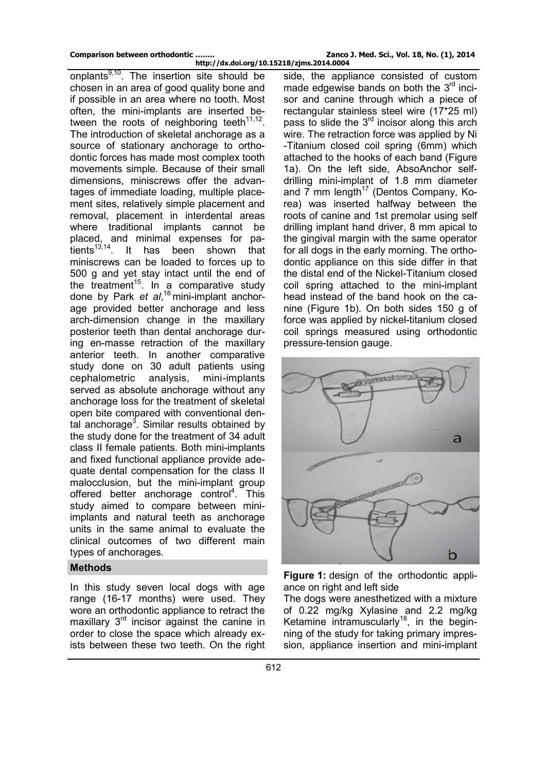onplants $9,10$ . The insertion site should be chosen in an area of good quality bone and if possible in an area where no tooth. Most often, the mini-implants are inserted between the roots of neighboring teeth<sup>11,12</sup>. The introduction of skeletal anchorage as a source of stationary anchorage to orthodontic forces has made most complex tooth movements simple. Because of their small dimensions, miniscrews offer the advantages of immediate loading, multiple placement sites, relatively simple placement and removal, placement in interdental areas where traditional implants cannot be placed, and minimal expenses for patients<sup>13,14</sup>. It has been shown that miniscrews can be loaded to forces up to 500 g and yet stay intact until the end of the treatment<sup>15</sup>. In a comparative study done by Park *et al*, <sup>16</sup> mini-implant anchorage provided better anchorage and less arch-dimension change in the maxillary posterior teeth than dental anchorage during en-masse retraction of the maxillary anterior teeth. In another comparative study done on 30 adult patients using cephalometric analysis, mini-implants served as absolute anchorage without any anchorage loss for the treatment of skeletal open bite compared with conventional dental anchorage<sup>3</sup>. Similar results obtained by the study done for the treatment of 34 adult class II female patients. Both mini-implants and fixed functional appliance provide adequate dental compensation for the class II malocclusion, but the mini-implant group offered better anchorage control<sup>4</sup>. This study aimed to compare between miniimplants and natural teeth as anchorage units in the same animal to evaluate the clinical outcomes of two different main types of anchorages.

# **Methods**

In this study seven local dogs with age range (16-17 months) were used. They wore an orthodontic appliance to retract the maxillary 3<sup>rd</sup> incisor against the canine in order to close the space which already exists between these two teeth. On the right

side, the appliance consisted of custom made edgewise bands on both the  $3<sup>rd</sup>$  incisor and canine through which a piece of rectangular stainless steel wire (17\*25 ml) pass to slide the  $3<sup>rd</sup>$  incisor along this arch wire. The retraction force was applied by Ni -Titanium closed coil spring (6mm) which attached to the hooks of each band (Figure 1a). On the left side, AbsoAnchor selfdrilling mini-implant of 1.8 mm diameter and 7 mm length<sup>17</sup> (Dentos Company, Korea) was inserted halfway between the roots of canine and 1st premolar using self drilling implant hand driver, 8 mm apical to the gingival margin with the same operator for all dogs in the early morning. The orthodontic appliance on this side differ in that the distal end of the Nickel-Titanium closed coil spring attached to the mini-implant head instead of the band hook on the canine (Figure 1b). On both sides 150 g of force was applied by nickel-titanium closed coil springs measured using orthodontic pressure-tension gauge.



**Figure 1:** design of the orthodontic appliance on right and left side

The dogs were anesthetized with a mixture of 0.22 mg/kg Xylasine and 2.2 mg/kg Ketamine intramuscularly<sup>18</sup>, in the beginning of the study for taking primary impression, appliance insertion and mini-implant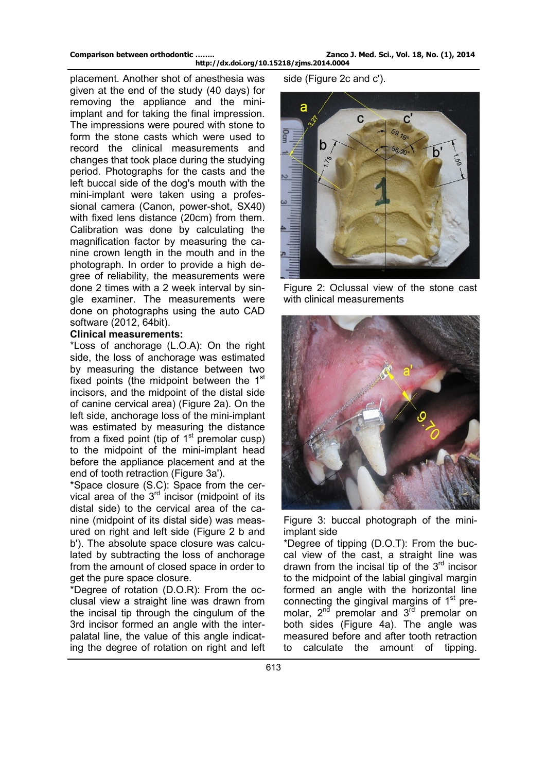**Comparison between orthodontic …….. Zanco J. Med. Sci., Vol. 18, No. (1), 2014 http://dx.doi.org/10.15218/zjms.2014.0004** 

placement. Another shot of anesthesia was given at the end of the study (40 days) for removing the appliance and the miniimplant and for taking the final impression. The impressions were poured with stone to form the stone casts which were used to record the clinical measurements and changes that took place during the studying period. Photographs for the casts and the left buccal side of the dog's mouth with the mini-implant were taken using a professional camera (Canon, power-shot, SX40) with fixed lens distance (20cm) from them. Calibration was done by calculating the magnification factor by measuring the canine crown length in the mouth and in the photograph. In order to provide a high degree of reliability, the measurements were done 2 times with a 2 week interval by single examiner. The measurements were done on photographs using the auto CAD software (2012, 64bit).

### **Clinical measurements:**

\*Loss of anchorage (L.O.A): On the right side, the loss of anchorage was estimated by measuring the distance between two fixed points (the midpoint between the 1<sup>st</sup> incisors, and the midpoint of the distal side of canine cervical area) (Figure 2a). On the left side, anchorage loss of the mini-implant was estimated by measuring the distance from a fixed point (tip of  $1<sup>st</sup>$  premolar cusp) to the midpoint of the mini-implant head before the appliance placement and at the end of tooth retraction (Figure 3a').

\*Space closure (S.C): Space from the cervical area of the  $3<sup>rd</sup>$  incisor (midpoint of its distal side) to the cervical area of the canine (midpoint of its distal side) was measured on right and left side (Figure 2 b and b'). The absolute space closure was calculated by subtracting the loss of anchorage from the amount of closed space in order to get the pure space closure.

\*Degree of rotation (D.O.R): From the occlusal view a straight line was drawn from the incisal tip through the cingulum of the 3rd incisor formed an angle with the interpalatal line, the value of this angle indicating the degree of rotation on right and left side (Figure 2c and c').



Figure 2: Oclussal view of the stone cast with clinical measurements



Figure 3: buccal photograph of the miniimplant side

\*Degree of tipping (D.O.T): From the buccal view of the cast, a straight line was drawn from the incisal tip of the  $3<sup>rd</sup>$  incisor to the midpoint of the labial gingival margin formed an angle with the horizontal line connecting the gingival margins of  $1<sup>st</sup>$  premolar,  $2^{nd}$  premolar and  $3^{rd}$  premolar on both sides (Figure 4a). The angle was measured before and after tooth retraction to calculate the amount of tipping.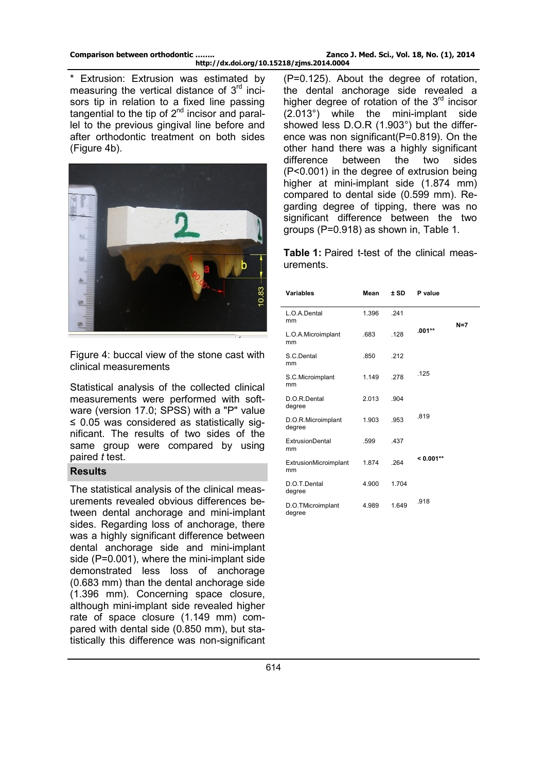\* Extrusion: Extrusion was estimated by measuring the vertical distance of  $3<sup>rd</sup>$  incisors tip in relation to a fixed line passing tangential to the tip of 2<sup>nd</sup> incisor and parallel to the previous gingival line before and after orthodontic treatment on both sides (Figure 4b).



Figure 4: buccal view of the stone cast with clinical measurements

Statistical analysis of the collected clinical measurements were performed with software (version 17.0; SPSS) with a "P" value ≤ 0.05 was considered as statistically significant. The results of two sides of the same group were compared by using paired *t* test.

## **Results**

The statistical analysis of the clinical measurements revealed obvious differences between dental anchorage and mini-implant sides. Regarding loss of anchorage, there was a highly significant difference between dental anchorage side and mini-implant side (P=0.001), where the mini-implant side demonstrated less loss of anchorage (0.683 mm) than the dental anchorage side (1.396 mm). Concerning space closure, although mini-implant side revealed higher rate of space closure (1.149 mm) compared with dental side (0.850 mm), but statistically this difference was non-significant

(P=0.125). About the degree of rotation, the dental anchorage side revealed a higher degree of rotation of the  $3<sup>rd</sup>$  incisor (2.013°) while the mini-implant side showed less D.O.R (1.903°) but the difference was non significant(P=0.819). On the other hand there was a highly significant difference between the two sides (P<0.001) in the degree of extrusion being higher at mini-implant side (1.874 mm) compared to dental side (0.599 mm). Regarding degree of tipping, there was no significant difference between the two groups (P=0.918) as shown in, Table 1.

**Table 1:** Paired t-test of the clinical measurements.

| <b>Variables</b>             | Mean  | $±$ SD | P value     |       |
|------------------------------|-------|--------|-------------|-------|
| L.O.A.Dental<br>mm           | 1.396 | 241    |             | $N=7$ |
| L.O.A.Microimplant<br>mm     | .683  | .128   | $.001**$    |       |
| S.C.Dental<br>mm             | .850  | .212   |             |       |
| S.C.Microimplant<br>mm       | 1.149 | .278   | .125        |       |
| D.O.R.Dental<br>degree       | 2.013 | .904   |             |       |
| D.O.R.Microimplant<br>degree | 1.903 | .953   | .819        |       |
| <b>ExtrusionDental</b><br>mm | .599  | .437   |             |       |
| ExtrusionMicroimplant<br>mm  | 1.874 | .264   | $< 0.001**$ |       |
| D.O.T.Dental<br>degree       | 4.900 | 1.704  |             |       |
| D.O.TMicroimplant<br>degree  | 4.989 | 1.649  | .918        |       |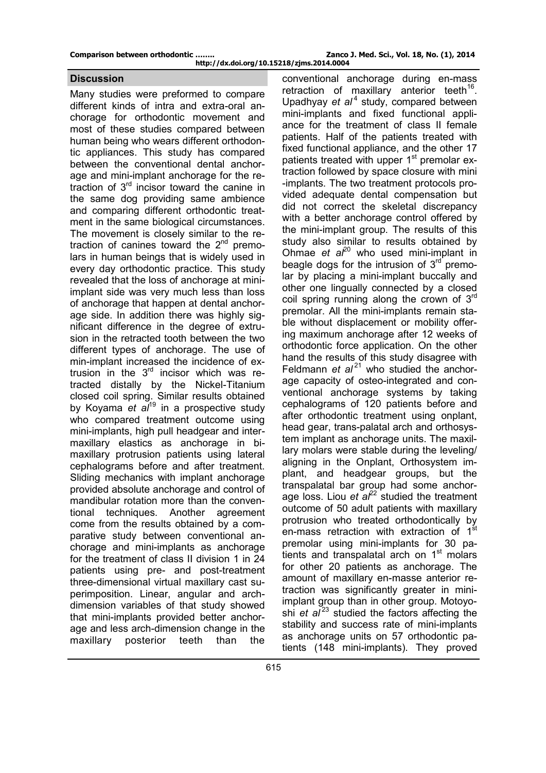Many studies were preformed to compare different kinds of intra and extra-oral anchorage for orthodontic movement and most of these studies compared between human being who wears different orthodontic appliances. This study has compared between the conventional dental anchorage and mini-implant anchorage for the retraction of 3rd incisor toward the canine in the same dog providing same ambience and comparing different orthodontic treatment in the same biological circumstances. The movement is closely similar to the retraction of canines toward the  $2^{nd}$  premolars in human beings that is widely used in every day orthodontic practice. This study revealed that the loss of anchorage at miniimplant side was very much less than loss of anchorage that happen at dental anchorage side. In addition there was highly significant difference in the degree of extrusion in the retracted tooth between the two different types of anchorage. The use of min-implant increased the incidence of extrusion in the  $3<sup>rd</sup>$  incisor which was retracted distally by the Nickel-Titanium closed coil spring. Similar results obtained by Koyama *et al*<sup>19</sup> in a prospective study who compared treatment outcome using mini-implants, high pull headgear and intermaxillary elastics as anchorage in bimaxillary protrusion patients using lateral cephalograms before and after treatment. Sliding mechanics with implant anchorage provided absolute anchorage and control of mandibular rotation more than the conventional techniques. Another agreement come from the results obtained by a comparative study between conventional anchorage and mini-implants as anchorage for the treatment of class II division 1 in 24 patients using pre- and post-treatment three-dimensional virtual maxillary cast superimposition. Linear, angular and archdimension variables of that study showed that mini-implants provided better anchorage and less arch-dimension change in the maxillary posterior teeth than the

**Discussion conventional anchorage during en-mass** retraction of maxillary anterior teeth $16$ . Upadhyay *et al*<sup>4</sup> study, compared between mini-implants and fixed functional appliance for the treatment of class II female patients. Half of the patients treated with fixed functional appliance, and the other 17 patients treated with upper 1<sup>st</sup> premolar extraction followed by space closure with mini -implants. The two treatment protocols provided adequate dental compensation but did not correct the skeletal discrepancy with a better anchorage control offered by the mini-implant group. The results of this study also similar to results obtained by Ohmae *et al*<sup>20</sup> who used mini-implant in beagle dogs for the intrusion of  $3<sup>rd</sup>$  premolar by placing a mini-implant buccally and other one lingually connected by a closed coil spring running along the crown of  $3<sup>rd</sup>$ premolar. All the mini-implants remain stable without displacement or mobility offering maximum anchorage after 12 weeks of orthodontic force application. On the other hand the results of this study disagree with Feldmann  $et$   $al^{21}$  who studied the anchorage capacity of osteo-integrated and conventional anchorage systems by taking cephalograms of 120 patients before and after orthodontic treatment using onplant, head gear, trans-palatal arch and orthosystem implant as anchorage units. The maxillary molars were stable during the leveling/ aligning in the Onplant, Orthosystem implant, and headgear groups, but the transpalatal bar group had some anchorage loss. Liou  $et \cdot a^{2^2}$  studied the treatment outcome of 50 adult patients with maxillary protrusion who treated orthodontically by en-mass retraction with extraction of 1<sup>st</sup> premolar using mini-implants for 30 patients and transpalatal arch on  $1<sup>st</sup>$  molars for other 20 patients as anchorage. The amount of maxillary en-masse anterior retraction was significantly greater in miniimplant group than in other group. Motoyoshi *et al*<sup>23</sup> studied the factors affecting the stability and success rate of mini-implants as anchorage units on 57 orthodontic patients (148 mini-implants). They proved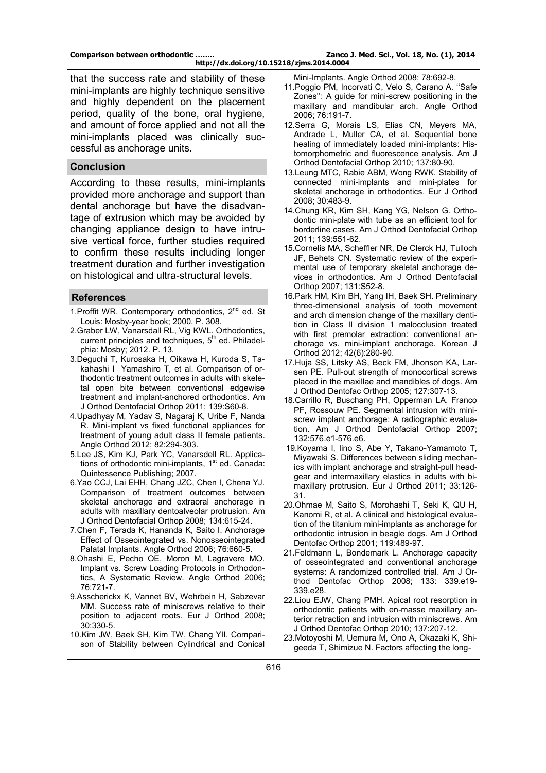that the success rate and stability of these mini-implants are highly technique sensitive and highly dependent on the placement period, quality of the bone, oral hygiene, and amount of force applied and not all the mini-implants placed was clinically successful as anchorage units.

#### **Conclusion**

According to these results, mini-implants provided more anchorage and support than dental anchorage but have the disadvantage of extrusion which may be avoided by changing appliance design to have intrusive vertical force, further studies required to confirm these results including longer treatment duration and further investigation on histological and ultra-structural levels.

### **References**

- 1. Proffit WR. Contemporary orthodontics,  $2<sup>nd</sup>$  ed. St Louis: Mosby-year book; 2000. P. 308.
- 2.Graber LW, Vanarsdall RL, Vig KWL. Orthodontics, current principles and techniques, 5<sup>th</sup> ed. Philadelphia: Mosby; 2012. P. 13.
- 3.Deguchi T, Kurosaka H, Oikawa H, Kuroda S, Takahashi I Yamashiro T, et al. Comparison of orthodontic treatment outcomes in adults with skeletal open bite between conventional edgewise treatment and implant-anchored orthodontics. Am J Orthod Dentofacial Orthop 2011; 139:S60-8.
- 4.Upadhyay M, Yadav S, Nagaraj K, Uribe F, Nanda R. Mini-implant vs fixed functional appliances for treatment of young adult class II female patients. Angle Orthod 2012; 82:294-303.
- 5.Lee JS, Kim KJ, Park YC, Vanarsdell RL. Applications of orthodontic mini-implants,  $1<sup>st</sup>$  ed. Canada: Quintessence Publishing; 2007.
- 6.Yao CCJ, Lai EHH, Chang JZC, Chen I, Chena YJ. Comparison of treatment outcomes between skeletal anchorage and extraoral anchorage in adults with maxillary dentoalveolar protrusion. Am J Orthod Dentofacial Orthop 2008; 134:615-24.
- 7.Chen F, Terada K, Hananda K, Saito I. Anchorage Effect of Osseointegrated vs. Nonosseointegrated Palatal Implants. Angle Orthod 2006; 76:660-5.
- 8.Ohashi E, Pecho OE, Moron M, Lagravere MO. Implant vs. Screw Loading Protocols in Orthodontics, A Systematic Review. Angle Orthod 2006; 76:721-7.
- 9.Asscherickx K, Vannet BV, Wehrbein H, Sabzevar MM. Success rate of miniscrews relative to their position to adjacent roots. Eur J Orthod 2008; 30:330-5.
- 10.Kim JW, Baek SH, Kim TW, Chang YII. Comparison of Stability between Cylindrical and Conical

Mini-Implants. Angle Orthod 2008; 78:692-8.

- 11.Poggio PM, Incorvati C, Velo S, Carano A. ''Safe Zones'': A guide for mini-screw positioning in the maxillary and mandibular arch. Angle Orthod 2006; 76:191-7.
- 12.Serra G, Morais LS, Elias CN, Meyers MA, Andrade L, Muller CA, et al. Sequential bone healing of immediately loaded mini-implants: Histomorphometric and fluorescence analysis. Am J Orthod Dentofacial Orthop 2010; 137:80-90.
- 13.Leung MTC, Rabie ABM, Wong RWK. Stability of connected mini-implants and mini-plates for skeletal anchorage in orthodontics. Eur J Orthod 2008; 30:483-9.
- 14.Chung KR, Kim SH, Kang YG, Nelson G. Orthodontic mini-plate with tube as an efficient tool for borderline cases. Am J Orthod Dentofacial Orthop 2011; 139:551-62.
- 15.Cornelis MA, Scheffler NR, De Clerck HJ, Tulloch JF, Behets CN. Systematic review of the experimental use of temporary skeletal anchorage devices in orthodontics. Am J Orthod Dentofacial Orthop 2007; 131:S52-8.
- 16.Park HM, Kim BH, Yang IH, Baek SH. Preliminary three-dimensional analysis of tooth movement and arch dimension change of the maxillary dentition in Class II division 1 malocclusion treated with first premolar extraction: conventional anchorage vs. mini-implant anchorage. Korean J Orthod 2012; 42(6):280-90.
- 17.Huja SS, Litsky AS, Beck FM, Jhonson KA, Larsen PE. Pull-out strength of monocortical screws placed in the maxillae and mandibles of dogs. Am J Orthod Dentofac Orthop 2005; 127:307-13.
- 18.Carrillo R, Buschang PH, Opperman LA, Franco PF, Rossouw PE. Segmental intrusion with miniscrew implant anchorage: A radiographic evaluation. Am J Orthod Dentofacial Orthop 2007; 132:576.e1-576.e6.
- 19.Koyama I, Iino S, Abe Y, Takano-Yamamoto T, Miyawaki S. Differences between sliding mechanics with implant anchorage and straight-pull headgear and intermaxillary elastics in adults with bimaxillary protrusion. Eur J Orthod 2011; 33:126- 31.
- 20.Ohmae M, Saito S, Morohashi T, Seki K, QU H, Kanomi R, et al. A clinical and histological evaluation of the titanium mini-implants as anchorage for orthodontic intrusion in beagle dogs. Am J Orthod Dentofac Orthop 2001; 119:489-97.
- 21.Feldmann L, Bondemark L. Anchorage capacity of osseointegrated and conventional anchorage systems: A randomized controlled trial. Am J Orthod Dentofac Orthop 2008; 133: 339.e19- 339.e28.
- 22.Liou EJW, Chang PMH. Apical root resorption in orthodontic patients with en-masse maxillary anterior retraction and intrusion with miniscrews. Am J Orthod Dentofac Orthop 2010; 137:207-12.
- 23.Motoyoshi M, Uemura M, Ono A, Okazaki K, Shigeeda T, Shimizue N. Factors affecting the long-